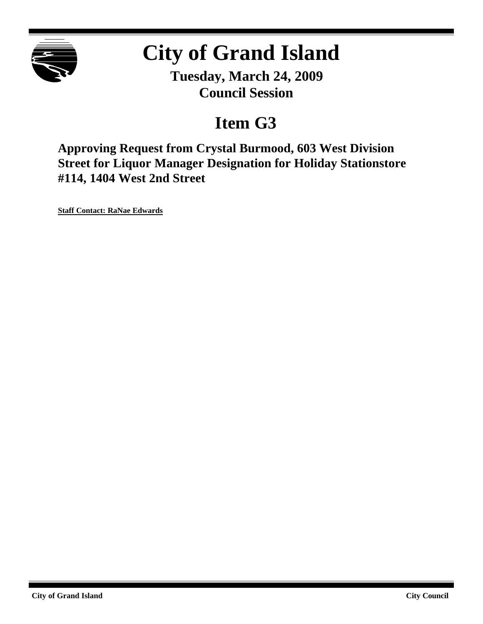

# **City of Grand Island**

**Tuesday, March 24, 2009 Council Session**

## **Item G3**

**Approving Request from Crystal Burmood, 603 West Division Street for Liquor Manager Designation for Holiday Stationstore #114, 1404 West 2nd Street**

**Staff Contact: RaNae Edwards**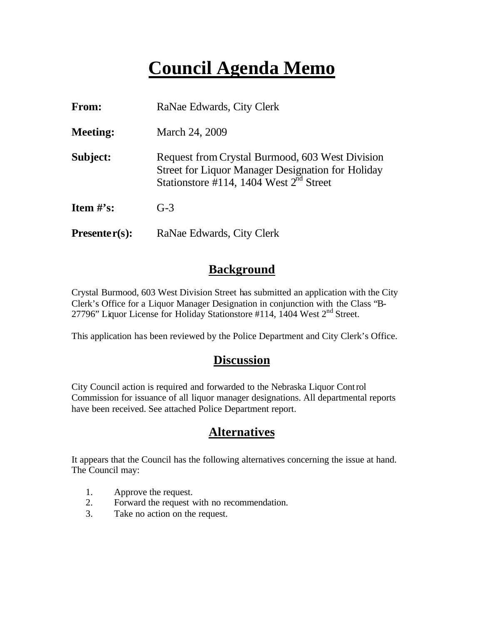## **Council Agenda Memo**

| <b>From:</b>    | RaNae Edwards, City Clerk                                                                                                                                              |  |  |
|-----------------|------------------------------------------------------------------------------------------------------------------------------------------------------------------------|--|--|
| <b>Meeting:</b> | March 24, 2009                                                                                                                                                         |  |  |
| Subject:        | Request from Crystal Burmood, 603 West Division<br><b>Street for Liquor Manager Designation for Holiday</b><br>Stationstore #114, 1404 West $2^{\overline{n}d}$ Street |  |  |
| Item $\#$ 's:   | $G-3$                                                                                                                                                                  |  |  |
| $Presenter(s):$ | RaNae Edwards, City Clerk                                                                                                                                              |  |  |

### **Background**

Crystal Burmood, 603 West Division Street has submitted an application with the City Clerk's Office for a Liquor Manager Designation in conjunction with the Class "B-27796" Liquor License for Holiday Stationstore #114, 1404 West 2<sup>nd</sup> Street.

This application has been reviewed by the Police Department and City Clerk's Office.

#### **Discussion**

City Council action is required and forwarded to the Nebraska Liquor Control Commission for issuance of all liquor manager designations. All departmental reports have been received. See attached Police Department report.

### **Alternatives**

It appears that the Council has the following alternatives concerning the issue at hand. The Council may:

- 1. Approve the request.
- 2. Forward the request with no recommendation.
- 3. Take no action on the request.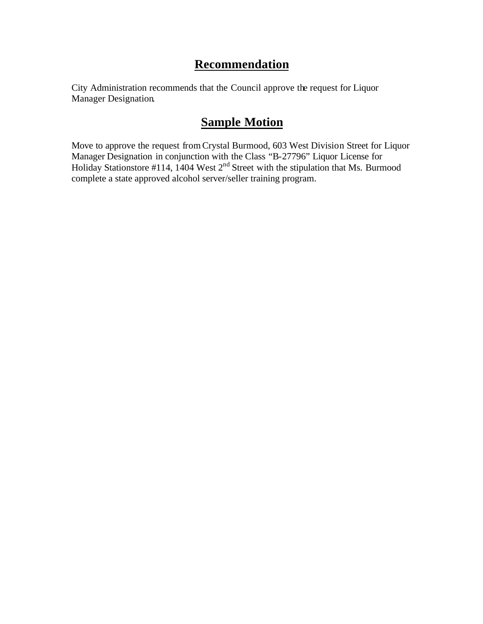## **Recommendation**

City Administration recommends that the Council approve the request for Liquor Manager Designation.

## **Sample Motion**

Move to approve the request fromCrystal Burmood, 603 West Division Street for Liquor Manager Designation in conjunction with the Class "B-27796" Liquor License for Holiday Stationstore #114, 1404 West 2<sup>nd</sup> Street with the stipulation that Ms. Burmood complete a state approved alcohol server/seller training program.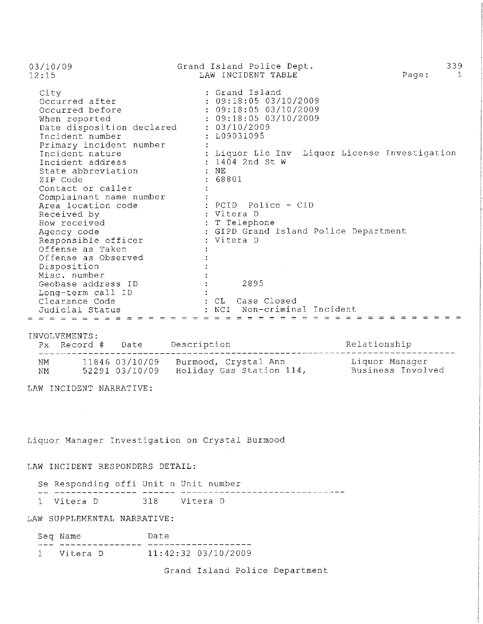| 03/10/09<br>12:15         | Grand Island Police Dept.<br>LAW INCIDENT TABLE | 339<br>Page: |
|---------------------------|-------------------------------------------------|--------------|
| City                      | : Grand Island                                  |              |
| Occurred after            | : 09:18:05 03/10/2009                           |              |
| Occurred before           | : 09:18:05 03/10/2009                           |              |
| When reported             | : 09:18:05 03/10/2009                           |              |
| Date disposition declared | : 03/10/2009                                    |              |
| Incident number           | : L09031095                                     |              |
| Primary incident number   |                                                 |              |
| Incident nature           | : Liquor Lic Inv Liquor License Investigation   |              |
| Incident address          | : 1404 2nd St W                                 |              |
| State abbreviation        | : NE                                            |              |
| ZIP Code                  | : 68801                                         |              |
| Contact or caller         |                                                 |              |
| Complainant name number   |                                                 |              |
| Area location code        | : PCID Police - CID                             |              |
| Received by               | : Vitera D                                      |              |
| How received              | : T Telephone                                   |              |
| Agency code               | : GIPD Grand Island Police Department           |              |
| Responsible officer       | : Vitera D                                      |              |
| Offense as Taken          |                                                 |              |
| Offense as Observed       |                                                 |              |
| Disposition               |                                                 |              |
| Misc. number              |                                                 |              |
| Geobase address ID        | 2895                                            |              |
| Long-term call ID         |                                                 |              |
| Clearance Code            | : CL Case Closed                                |              |
| Judicial Status           | NCI Non-criminal Incident                       |              |
| $= 2.223$ $= 2.233$       |                                                 |              |

INVOLVEMENTS:

|    | $Px$ Record # | Date           | Description              | Relationship      |
|----|---------------|----------------|--------------------------|-------------------|
| NΜ |               | 11846 03/10/09 | Burmood, Crystal Ann     | Liquor Manaqer    |
| ΝM |               | 52291 03/10/09 | Holiday Gas Station 114, | Business Involved |

LAW INCIDENT NARRATIVE:

 $\sim 10^{-1}$ 

Liquor Manager Investigation on Crystal Burmood

#### LAW INCIDENT RESPONDERS DETAIL:

| Se Responding offi Unit n Unit number |                |  |  |
|---------------------------------------|----------------|--|--|
|                                       |                |  |  |
| 1 Vitera D                            | 318 - Vitera D |  |  |

#### LAW SUPPLEMENTAL NARRATIVE:

| Seq Name   | Date                  |
|------------|-----------------------|
|            |                       |
| 1 Vitera D | $11:42:32$ 03/10/2009 |

Grand Island Police Department